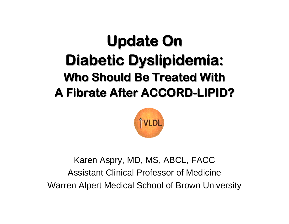# **Update On Diabetic Dyslipidemia: Who Should Be Treated With A Fibrate Fibrate After ACCORD After ACCORD-LIPID?**



Karen Aspry, MD, MS, ABCL, FACC Assistant Clinical Professor of Medicine Warren Alpert Medical School of Brown University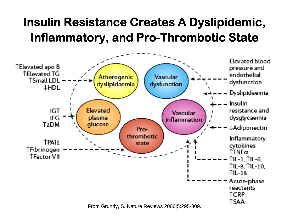## **Insulin Resistance Creates A Dyslipidemic, Inflammatory, and Pro-Thrombotic State**

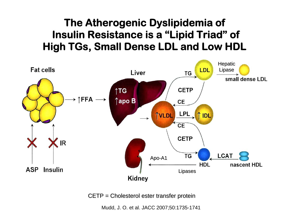#### **The Atherogenic Dyslipidemia of Insulin Resistance is a "Lipid Triad" of High TGs, Small Dense LDL and Low HDL**



 $CETP = Cholesterol ester transform$  transfer protein

Mudd, J. O. et al. JACC 2007;50:1735-1741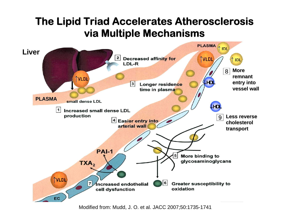#### **The Lipid Triad Accelerates Atherosclerosis via Multiple Mechanisms**



Modified from: Mudd, J. O. et al. JACC 2007;50:1735-1741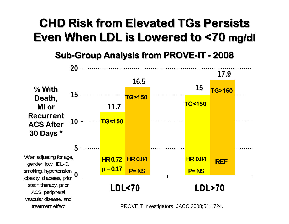## **CHD Risk from Elevated CHD Risk from Elevated TGs Persists Persists**  Even When LDL is Lowered to <70 mg/dl

**Sub-Group Analysis from PROVE-IT - 2008**

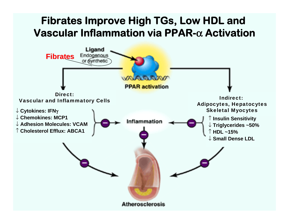#### **Fibrates Improve High TGs, Low HDL and Vascular Inflammation via PPAR-**α **Activation** Ligand **Fibrates Fibrates** Endogenor Avniheti **WAIRRARY PPAR activation** Direct: Indirect: Vascular and Inflammatory Cells Adipocytes, Hepatocytes **Skeletal Myocytes** ↓ **Cytokines: IFN**γ ↓ **Chemokines Chemokines: MCP1** ↑ **Insulin Sensitivity Insulin Sensitivity** Inflammation ↓ **Adhesion Molecules: VCAM**↓ **Triglycerides ~50%** ↑ **Cholesterol Efflux: ABCA1 Cholesterol Efflux: ABCA1**↑ **HDL ~15%**↓ **Small Dense LDL**

**Atherosclerosis**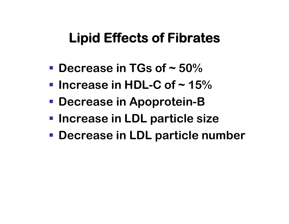## **Lipid Effects of Fibrates**

- **Decrease in TGs of ~ 50%**
- **Increase in HDL-C of ~ 15%**
- **Decrease in Apoprotein-B**
- **Increase in LDL particle size**
- **Decrease in LDL particle number**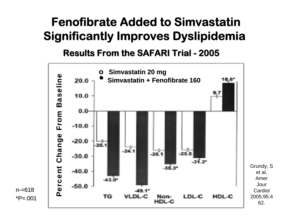#### **Fenofibrate Added to SimvastatinSignificantly Improves Dyslipidemia**

**Results From the SAFARI Trial Results From the SAFARI Trial - 2005**



n-=618 $*P = .001$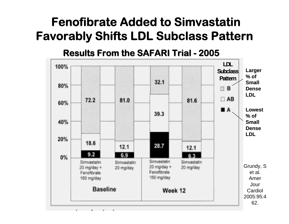#### **Fenofibrate Added to SimvastatinFavorably Shifts LDL Subclass Pattern**

**Results From the SAFARI Trial Results From the SAFARI Trial - 2005**

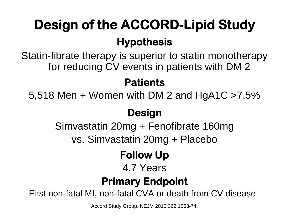# **Design of the ACCORD-Lipid Study Hypothesis**

Statin-fibrate therapy is superior to statin monotherapy for reducing CV events in patients with DM 2

#### **Patients**

5,518 Men + Women with DM 2 and HgA1C  $\geq$ 7.5%

#### **Design**

Simvastatin 20mg + Fenofibrate 160mg

vs. Simvastatin 20mg + Placebo

#### **Follow Up**

#### 4.7 Years

#### **Primary Endpoint**

First non-fatal MI, non-fatal CVA or death from CV disease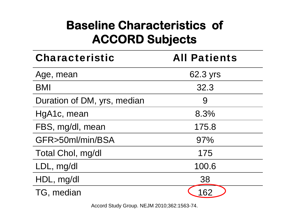## **Baseline Characteristics of ACCORD Subjects**

| <b>Characteristic</b>       | <b>All Patients</b> |
|-----------------------------|---------------------|
| Age, mean                   | 62.3 yrs            |
| <b>BMI</b>                  | 32.3                |
| Duration of DM, yrs, median | 9                   |
| HgA1c, mean                 | 8.3%                |
| FBS, mg/dl, mean            | 175.8               |
| GFR>50ml/min/BSA            | 97%                 |
| Total Chol, mg/dl           | 175                 |
| LDL, mg/dl                  | 100.6               |
| HDL, mg/dl                  | 38                  |
| TG, median                  | 162                 |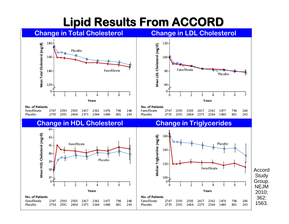## **Lipid Results From ACCORD Lipid Results From ACCORD**

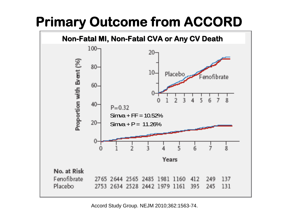## **Primary Outcome from ACCORD**

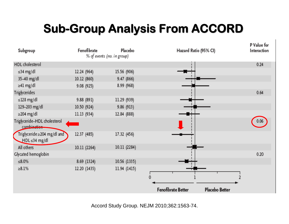## **Sub-Group Analysis From ACCORD**

| Subgroup                                           | Fenofibrate  | Placebo<br>% of events (no. in group) | Hazard Ratio (95% CI)                | P Value for<br>Interaction |
|----------------------------------------------------|--------------|---------------------------------------|--------------------------------------|----------------------------|
| <b>HDL</b> cholesterol                             |              |                                       |                                      | 0.24                       |
| ≤34 mg/dl                                          | 12.24 (964)  | 15.56 (906)                           |                                      |                            |
| 35-40 mg/dl                                        | 10.12 (860)  | 9.47 (866)                            |                                      |                            |
| ≥41 mg/dl                                          | 9.08 (925)   | 8.99 (968)                            |                                      |                            |
| Triglycerides                                      |              |                                       |                                      | 0.64                       |
| $\leq$ 128 mg/dl                                   | 9.88 (891)   | 11.29 (939)                           |                                      |                            |
| 129-203 mg/dl                                      | 10.50 (924)  | 9.86 (913)                            |                                      |                            |
| $\geq$ 204 mg/dl                                   | 11.13 (934)  | 12.84 (888)                           |                                      |                            |
| Triglyceride-HDL cholesterol<br>combination        |              |                                       |                                      | 0.06                       |
| Triglyceride ≥204 mg/dl and<br>$HDL \leq 34$ mg/dl | 12.37 (485)  | 17.32 (456)                           |                                      |                            |
| All others                                         | 10.11 (2264) | 10.11 (2284)                          |                                      |                            |
| Glycated hemoglobin                                |              |                                       |                                      | 0.20                       |
| $\leq 8.0\%$                                       | 8.69 (1324)  | 10.56 (1335)                          |                                      |                            |
| $>8.1\%$                                           | 12.20 (1435) | 11.94 (1415)                          |                                      |                            |
|                                                    |              |                                       | Fenofibrate Better<br>Placebo Better |                            |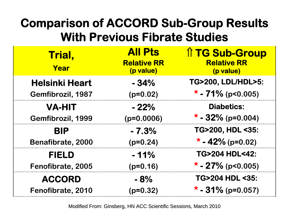## **Comparison of ACCORD Sub-Group Results With Previous Fibrate Studies**

| Trial,<br>Year        | <b>All Pts</b><br><b>Relative RR</b><br>(p value) | <b>1 TG Sub-Group</b><br><b>Relative RR</b><br>(p value) |
|-----------------------|---------------------------------------------------|----------------------------------------------------------|
| <b>Helsinki Heart</b> | $-34%$                                            | TG>200, LDL/HDL>5:                                       |
| Gemfibrozil, 1987     | $(p=0.02)$                                        | * - $71\%$ (p<0.005)                                     |
| <b>VA-HIT</b>         | $-22%$                                            | <b>Diabetics:</b>                                        |
| Gemfibrozil, 1999     | $(p=0.0006)$                                      | * - $32\%$ (p=0.004)                                     |
| <b>BIP</b>            | $-7.3%$                                           | TG>200, HDL <35:                                         |
| Benafibrate, 2000     | $(p=0.24)$                                        | * - 42% (p=0.02)                                         |
| <b>FIELD</b>          | $-11%$                                            | <b>TG&gt;204 HDL&lt;42:</b>                              |
| Fenofibrate, 2005     | $(p=0.16)$                                        | * - 27% (p<0.005)                                        |
| <b>ACCORD</b>         | $-8%$                                             | <b>TG&gt;204 HDL &lt;35:</b>                             |
| Fenofibrate, 2010     | $(p=0.32)$                                        | * - $31\%$ (p=0.057)                                     |

Modified From: Ginsberg, HN ACC Scientific Sessions, March 2010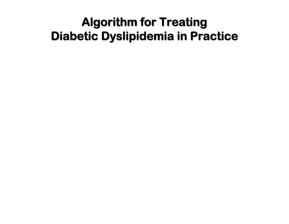#### **Algorithm for Treating Diabetic Dyslipidemia in Practice**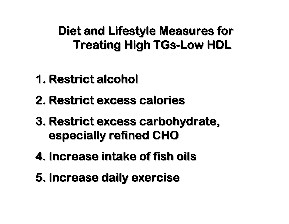## **Diet and Lifestyle Measures for Treating High Treating High TGs -Low HDL Low HDL**

- **1. Restrict alcohol Restrict alcohol**
- **2. Restrict excess calories Restrict excess calories**
- **3. Restrict excess carbohydrate, especially refined CHO especially refined CHO**
- **4. Increase intake of fish oils Increase intake of fish oils**
- **5.** Increase daily exercise